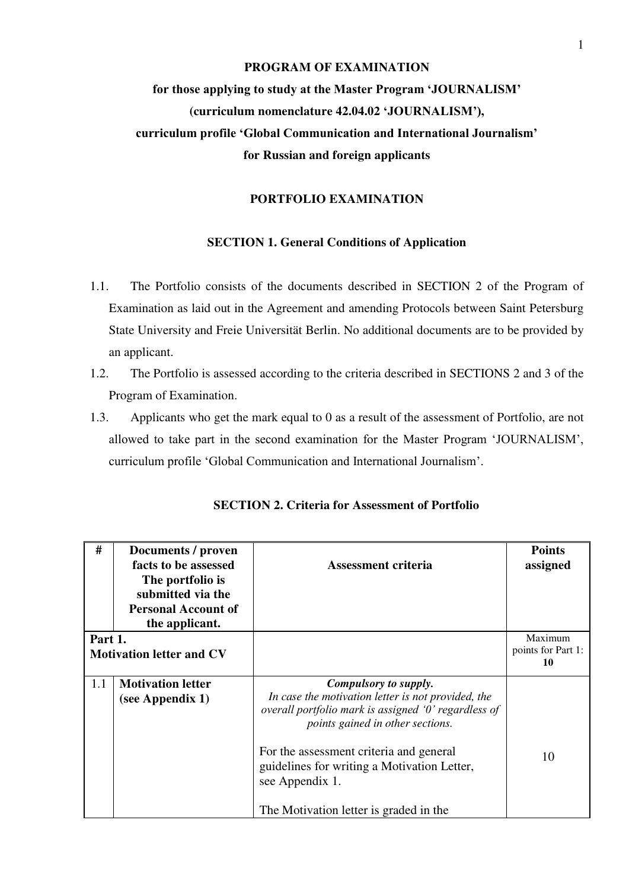# **PROGRAM OF EXAMINATION for those applying to study at the Master Program 'JOURNALISM' (curriculum nomenclature 42.04.02 'JOURNALISM'), curriculum profile 'Global Communication and International Journalism' for Russian and foreign applicants**

#### **PORTFOLIO EXAMINATION**

### **SECTION 1. General Conditions of Application**

- 1.1. The Portfolio consists of the documents described in SECTION 2 of the Program of Examination as laid out in the Agreement and amending Protocols between Saint Petersburg State University and Freie Universität Berlin. No additional documents are to be provided by an applicant.
- 1.2. The Portfolio is assessed according to the criteria described in SECTIONS 2 and 3 of the Program of Examination.
- 1.3. Applicants who get the mark equal to 0 as a result of the assessment of Portfolio, are not allowed to take part in the second examination for the Master Program 'JOURNALISM', curriculum profile 'Global Communication and International Journalism'.

| #                                          | Documents / proven<br>facts to be assessed<br>The portfolio is<br>submitted via the<br><b>Personal Account of</b><br>the applicant. | Assessment criteria                                                                                                                                                                                                                                                                                                            | <b>Points</b><br>assigned           |
|--------------------------------------------|-------------------------------------------------------------------------------------------------------------------------------------|--------------------------------------------------------------------------------------------------------------------------------------------------------------------------------------------------------------------------------------------------------------------------------------------------------------------------------|-------------------------------------|
| Part 1.<br><b>Motivation letter and CV</b> |                                                                                                                                     |                                                                                                                                                                                                                                                                                                                                | Maximum<br>points for Part 1:<br>10 |
| 1.1                                        | <b>Motivation letter</b><br>(see Appendix 1)                                                                                        | Compulsory to supply.<br>In case the motivation letter is not provided, the<br>overall portfolio mark is assigned '0' regardless of<br>points gained in other sections.<br>For the assessment criteria and general<br>guidelines for writing a Motivation Letter,<br>see Appendix 1.<br>The Motivation letter is graded in the | 10                                  |

**SECTION 2. Criteria for Assessment of Portfolio**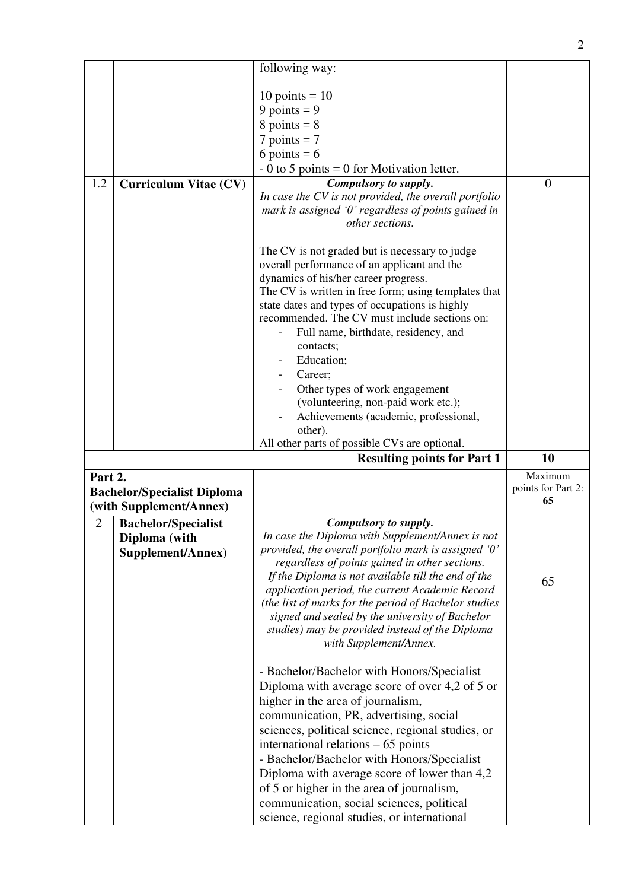|                |                                    | following way:                                                                                         |                          |
|----------------|------------------------------------|--------------------------------------------------------------------------------------------------------|--------------------------|
|                |                                    |                                                                                                        |                          |
|                |                                    | $10 \text{ points} = 10$                                                                               |                          |
|                |                                    | 9 points = $9$                                                                                         |                          |
|                |                                    | $8$ points = $8$                                                                                       |                          |
|                |                                    | $7$ points = $7$                                                                                       |                          |
|                |                                    | 6 points = $6$                                                                                         |                          |
|                |                                    | $-0$ to 5 points = 0 for Motivation letter.                                                            |                          |
| 1.2            | <b>Curriculum Vitae (CV)</b>       | Compulsory to supply.<br>In case the CV is not provided, the overall portfolio                         | $\overline{0}$           |
|                |                                    | mark is assigned '0' regardless of points gained in                                                    |                          |
|                |                                    | other sections.                                                                                        |                          |
|                |                                    |                                                                                                        |                          |
|                |                                    | The CV is not graded but is necessary to judge                                                         |                          |
|                |                                    | overall performance of an applicant and the                                                            |                          |
|                |                                    | dynamics of his/her career progress.                                                                   |                          |
|                |                                    | The CV is written in free form; using templates that                                                   |                          |
|                |                                    | state dates and types of occupations is highly                                                         |                          |
|                |                                    | recommended. The CV must include sections on:                                                          |                          |
|                |                                    | Full name, birthdate, residency, and                                                                   |                          |
|                |                                    | contacts;                                                                                              |                          |
|                |                                    | Education;                                                                                             |                          |
|                |                                    | Career;                                                                                                |                          |
|                |                                    | Other types of work engagement                                                                         |                          |
|                |                                    | (volunteering, non-paid work etc.);                                                                    |                          |
|                |                                    | Achievements (academic, professional,                                                                  |                          |
|                |                                    | other).                                                                                                |                          |
|                |                                    | All other parts of possible CVs are optional.                                                          |                          |
|                |                                    |                                                                                                        |                          |
|                |                                    | <b>Resulting points for Part 1</b>                                                                     | 10                       |
| Part 2.        |                                    |                                                                                                        | Maximum                  |
|                | <b>Bachelor/Specialist Diploma</b> |                                                                                                        | points for Part 2:<br>65 |
|                | (with Supplement/Annex)            |                                                                                                        |                          |
| $\mathfrak{2}$ | <b>Bachelor/Specialist</b>         | Compulsory to supply.                                                                                  |                          |
|                | Diploma (with                      | In case the Diploma with Supplement/Annex is not                                                       |                          |
|                | Supplement/Annex)                  | provided, the overall portfolio mark is assigned '0'                                                   |                          |
|                |                                    | regardless of points gained in other sections.                                                         |                          |
|                |                                    | If the Diploma is not available till the end of the<br>application period, the current Academic Record | 65                       |
|                |                                    | (the list of marks for the period of Bachelor studies                                                  |                          |
|                |                                    | signed and sealed by the university of Bachelor                                                        |                          |
|                |                                    | studies) may be provided instead of the Diploma                                                        |                          |
|                |                                    | with Supplement/Annex.                                                                                 |                          |
|                |                                    |                                                                                                        |                          |
|                |                                    | - Bachelor/Bachelor with Honors/Specialist                                                             |                          |
|                |                                    | Diploma with average score of over 4,2 of 5 or                                                         |                          |
|                |                                    | higher in the area of journalism,                                                                      |                          |
|                |                                    | communication, PR, advertising, social                                                                 |                          |
|                |                                    | sciences, political science, regional studies, or                                                      |                          |
|                |                                    | international relations $-65$ points                                                                   |                          |
|                |                                    | - Bachelor/Bachelor with Honors/Specialist                                                             |                          |
|                |                                    | Diploma with average score of lower than 4,2                                                           |                          |
|                |                                    | of 5 or higher in the area of journalism,                                                              |                          |
|                |                                    | communication, social sciences, political<br>science, regional studies, or international               |                          |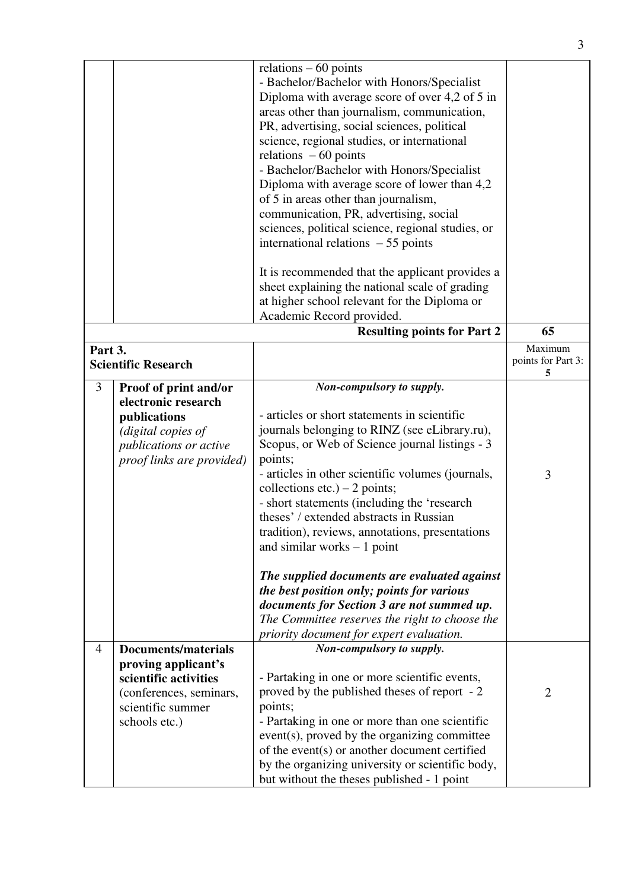|                |                                     | relations $-60$ points<br>- Bachelor/Bachelor with Honors/Specialist<br>Diploma with average score of over 4,2 of 5 in<br>areas other than journalism, communication,<br>PR, advertising, social sciences, political |                         |
|----------------|-------------------------------------|----------------------------------------------------------------------------------------------------------------------------------------------------------------------------------------------------------------------|-------------------------|
|                |                                     | science, regional studies, or international<br>relations $-60$ points<br>- Bachelor/Bachelor with Honors/Specialist                                                                                                  |                         |
|                |                                     | Diploma with average score of lower than 4,2<br>of 5 in areas other than journalism,<br>communication, PR, advertising, social<br>sciences, political science, regional studies, or                                  |                         |
|                |                                     | international relations $-55$ points                                                                                                                                                                                 |                         |
|                |                                     | It is recommended that the applicant provides a<br>sheet explaining the national scale of grading                                                                                                                    |                         |
|                |                                     | at higher school relevant for the Diploma or                                                                                                                                                                         |                         |
|                |                                     | Academic Record provided.<br><b>Resulting points for Part 2</b>                                                                                                                                                      | 65                      |
| Part 3.        |                                     |                                                                                                                                                                                                                      | Maximum                 |
|                | <b>Scientific Research</b>          |                                                                                                                                                                                                                      | points for Part 3:<br>5 |
| 3              | Proof of print and/or               | Non-compulsory to supply.                                                                                                                                                                                            |                         |
|                | electronic research<br>publications | - articles or short statements in scientific                                                                                                                                                                         |                         |
|                | (digital copies of                  | journals belonging to RINZ (see eLibrary.ru),                                                                                                                                                                        |                         |
|                | <i>publications or active</i>       | Scopus, or Web of Science journal listings - 3                                                                                                                                                                       |                         |
|                | proof links are provided)           | points;                                                                                                                                                                                                              |                         |
|                |                                     | - articles in other scientific volumes (journals,                                                                                                                                                                    | 3                       |
|                |                                     | collections etc.) $-2$ points;                                                                                                                                                                                       |                         |
|                |                                     | - short statements (including the 'research<br>theses' / extended abstracts in Russian                                                                                                                               |                         |
|                |                                     | tradition), reviews, annotations, presentations                                                                                                                                                                      |                         |
|                |                                     | and similar works $-1$ point                                                                                                                                                                                         |                         |
|                |                                     | The supplied documents are evaluated against                                                                                                                                                                         |                         |
|                |                                     | the best position only; points for various                                                                                                                                                                           |                         |
|                |                                     | documents for Section 3 are not summed up.                                                                                                                                                                           |                         |
|                |                                     | The Committee reserves the right to choose the<br>priority document for expert evaluation.                                                                                                                           |                         |
| $\overline{4}$ | <b>Documents/materials</b>          | Non-compulsory to supply.                                                                                                                                                                                            |                         |
|                | proving applicant's                 |                                                                                                                                                                                                                      |                         |
|                | scientific activities               | - Partaking in one or more scientific events,                                                                                                                                                                        |                         |
|                | (conferences, seminars,             | proved by the published theses of report - 2                                                                                                                                                                         | $\overline{2}$          |
|                | scientific summer                   | points;                                                                                                                                                                                                              |                         |
|                | schools etc.)                       | - Partaking in one or more than one scientific                                                                                                                                                                       |                         |
|                |                                     | event(s), proved by the organizing committee<br>of the event(s) or another document certified                                                                                                                        |                         |
|                |                                     | by the organizing university or scientific body,                                                                                                                                                                     |                         |
|                |                                     | but without the theses published - 1 point                                                                                                                                                                           |                         |

3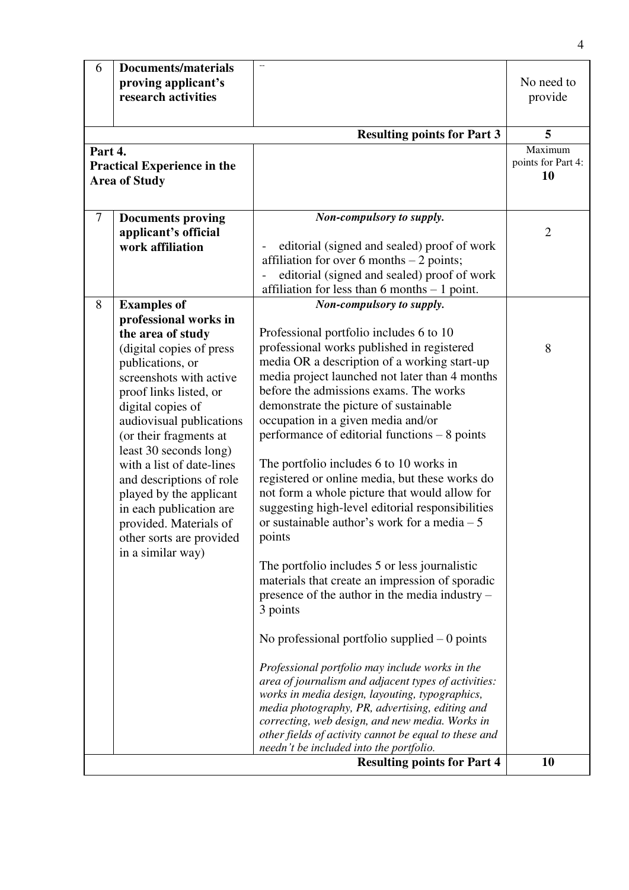| 6                                                                     | <b>Documents/materials</b><br>proving applicant's<br>research activities                                                                                                                                                                                                                                                                                                                                                                       | $\overline{\phantom{a}}$                                                                                                                                                                                                                                                                                                                                                                                                                                                                                                                                                                                                         | No need to<br>provide               |
|-----------------------------------------------------------------------|------------------------------------------------------------------------------------------------------------------------------------------------------------------------------------------------------------------------------------------------------------------------------------------------------------------------------------------------------------------------------------------------------------------------------------------------|----------------------------------------------------------------------------------------------------------------------------------------------------------------------------------------------------------------------------------------------------------------------------------------------------------------------------------------------------------------------------------------------------------------------------------------------------------------------------------------------------------------------------------------------------------------------------------------------------------------------------------|-------------------------------------|
|                                                                       |                                                                                                                                                                                                                                                                                                                                                                                                                                                | <b>Resulting points for Part 3</b>                                                                                                                                                                                                                                                                                                                                                                                                                                                                                                                                                                                               | 5                                   |
| Part 4.<br><b>Practical Experience in the</b><br><b>Area of Study</b> |                                                                                                                                                                                                                                                                                                                                                                                                                                                |                                                                                                                                                                                                                                                                                                                                                                                                                                                                                                                                                                                                                                  | Maximum<br>points for Part 4:<br>10 |
| $\overline{7}$                                                        | <b>Documents proving</b><br>applicant's official                                                                                                                                                                                                                                                                                                                                                                                               | Non-compulsory to supply.                                                                                                                                                                                                                                                                                                                                                                                                                                                                                                                                                                                                        | $\overline{2}$                      |
|                                                                       | work affiliation                                                                                                                                                                                                                                                                                                                                                                                                                               | editorial (signed and sealed) proof of work<br>affiliation for over 6 months $-2$ points;<br>editorial (signed and sealed) proof of work<br>affiliation for less than 6 months $-1$ point.                                                                                                                                                                                                                                                                                                                                                                                                                                       |                                     |
| 8                                                                     | <b>Examples of</b>                                                                                                                                                                                                                                                                                                                                                                                                                             | Non-compulsory to supply.                                                                                                                                                                                                                                                                                                                                                                                                                                                                                                                                                                                                        |                                     |
|                                                                       | professional works in<br>the area of study<br>(digital copies of press<br>publications, or<br>screenshots with active<br>proof links listed, or<br>digital copies of<br>audiovisual publications<br>(or their fragments at<br>least 30 seconds long)<br>with a list of date-lines<br>and descriptions of role<br>played by the applicant<br>in each publication are<br>provided. Materials of<br>other sorts are provided<br>in a similar way) | Professional portfolio includes 6 to 10<br>professional works published in registered<br>media OR a description of a working start-up<br>media project launched not later than 4 months<br>before the admissions exams. The works<br>demonstrate the picture of sustainable<br>occupation in a given media and/or<br>performance of editorial functions $-8$ points<br>The portfolio includes 6 to 10 works in<br>registered or online media, but these works do<br>not form a whole picture that would allow for<br>suggesting high-level editorial responsibilities<br>or sustainable author's work for a media $-5$<br>points | 8                                   |
|                                                                       |                                                                                                                                                                                                                                                                                                                                                                                                                                                | The portfolio includes 5 or less journalistic<br>materials that create an impression of sporadic<br>presence of the author in the media industry –<br>3 points<br>No professional portfolio supplied $-0$ points<br>Professional portfolio may include works in the<br>area of journalism and adjacent types of activities:<br>works in media design, layouting, typographics,<br>media photography, PR, advertising, editing and<br>correcting, web design, and new media. Works in<br>other fields of activity cannot be equal to these and<br>needn't be included into the portfolio.                                         |                                     |
|                                                                       |                                                                                                                                                                                                                                                                                                                                                                                                                                                | <b>Resulting points for Part 4</b>                                                                                                                                                                                                                                                                                                                                                                                                                                                                                                                                                                                               | 10                                  |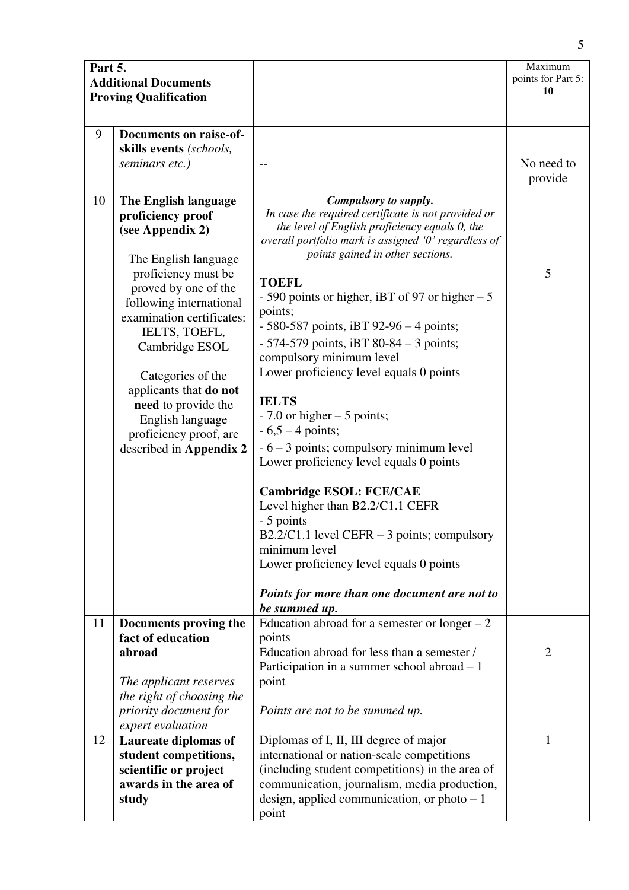| Part 5. | <b>Additional Documents</b><br><b>Proving Qualification</b>                                                                                                                                                                                                                                                                                                                    |                                                                                                                                                                                                                                                                                                                                                                                                                                                                                                                                                                                                                                                                                                                                                                                                                                          | Maximum<br>points for Part 5:<br><b>10</b> |
|---------|--------------------------------------------------------------------------------------------------------------------------------------------------------------------------------------------------------------------------------------------------------------------------------------------------------------------------------------------------------------------------------|------------------------------------------------------------------------------------------------------------------------------------------------------------------------------------------------------------------------------------------------------------------------------------------------------------------------------------------------------------------------------------------------------------------------------------------------------------------------------------------------------------------------------------------------------------------------------------------------------------------------------------------------------------------------------------------------------------------------------------------------------------------------------------------------------------------------------------------|--------------------------------------------|
| 9       | Documents on raise-of-<br>skills events (schools,<br>seminars etc.)                                                                                                                                                                                                                                                                                                            |                                                                                                                                                                                                                                                                                                                                                                                                                                                                                                                                                                                                                                                                                                                                                                                                                                          | No need to<br>provide                      |
| 10      | The English language<br>proficiency proof<br>(see Appendix 2)<br>The English language<br>proficiency must be<br>proved by one of the<br>following international<br>examination certificates:<br>IELTS, TOEFL,<br>Cambridge ESOL<br>Categories of the<br>applicants that do not<br>need to provide the<br>English language<br>proficiency proof, are<br>described in Appendix 2 | Compulsory to supply.<br>In case the required certificate is not provided or<br>the level of English proficiency equals 0, the<br>overall portfolio mark is assigned '0' regardless of<br>points gained in other sections.<br><b>TOEFL</b><br>- 590 points or higher, iBT of 97 or higher $-5$<br>points;<br>$-580-587$ points, iBT 92-96 $-4$ points;<br>$-574-579$ points, iBT 80-84 - 3 points;<br>compulsory minimum level<br>Lower proficiency level equals 0 points<br><b>IELTS</b><br>$-7.0$ or higher $-5$ points;<br>$-6,5 - 4$ points;<br>$-6 - 3$ points; compulsory minimum level<br>Lower proficiency level equals 0 points<br><b>Cambridge ESOL: FCE/CAE</b><br>Level higher than B2.2/C1.1 CEFR<br>- 5 points<br>B2.2/C1.1 level CEFR $-3$ points; compulsory<br>minimum level<br>Lower proficiency level equals 0 points | 5                                          |
|         |                                                                                                                                                                                                                                                                                                                                                                                | Points for more than one document are not to<br>be summed up.                                                                                                                                                                                                                                                                                                                                                                                                                                                                                                                                                                                                                                                                                                                                                                            |                                            |
| 11      | Documents proving the<br>fact of education<br>abroad<br>The applicant reserves<br>the right of choosing the                                                                                                                                                                                                                                                                    | Education abroad for a semester or longer $-2$<br>points<br>Education abroad for less than a semester /<br>Participation in a summer school abroad $-1$<br>point                                                                                                                                                                                                                                                                                                                                                                                                                                                                                                                                                                                                                                                                         | $\overline{2}$                             |
|         | priority document for<br>expert evaluation                                                                                                                                                                                                                                                                                                                                     | Points are not to be summed up.                                                                                                                                                                                                                                                                                                                                                                                                                                                                                                                                                                                                                                                                                                                                                                                                          |                                            |
| 12      | <b>Laureate diplomas of</b><br>student competitions,<br>scientific or project<br>awards in the area of<br>study                                                                                                                                                                                                                                                                | Diplomas of I, II, III degree of major<br>international or nation-scale competitions<br>(including student competitions) in the area of<br>communication, journalism, media production,<br>design, applied communication, or photo $-1$<br>point                                                                                                                                                                                                                                                                                                                                                                                                                                                                                                                                                                                         | $\mathbf{1}$                               |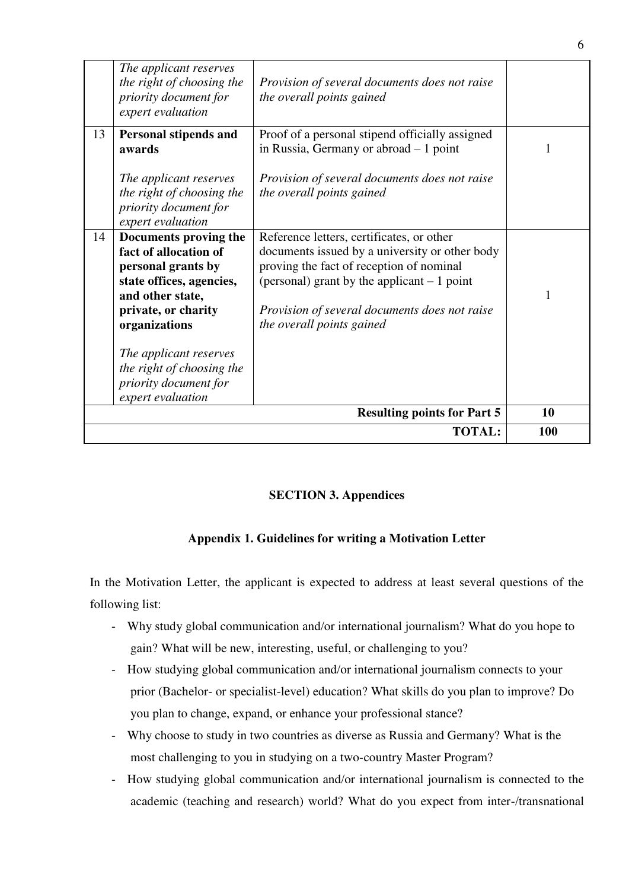|    |                                                                                                                                                              | <b>TOTAL:</b>                                                                                                                                                                                                                                                         | 100 |
|----|--------------------------------------------------------------------------------------------------------------------------------------------------------------|-----------------------------------------------------------------------------------------------------------------------------------------------------------------------------------------------------------------------------------------------------------------------|-----|
|    |                                                                                                                                                              | <b>Resulting points for Part 5</b>                                                                                                                                                                                                                                    | 10  |
|    | The applicant reserves<br>the right of choosing the<br>priority document for<br>expert evaluation                                                            |                                                                                                                                                                                                                                                                       |     |
| 14 | Documents proving the<br>fact of allocation of<br>personal grants by<br>state offices, agencies,<br>and other state,<br>private, or charity<br>organizations | Reference letters, certificates, or other<br>documents issued by a university or other body<br>proving the fact of reception of nominal<br>(personal) grant by the applicant $-1$ point<br>Provision of several documents does not raise<br>the overall points gained | 1   |
| 13 | Personal stipends and<br>awards<br>The applicant reserves<br>the right of choosing the<br>priority document for<br>expert evaluation                         | Proof of a personal stipend officially assigned<br>in Russia, Germany or abroad $-1$ point<br>Provision of several documents does not raise<br>the overall points gained                                                                                              |     |
|    | The applicant reserves<br>the right of choosing the<br>priority document for<br>expert evaluation                                                            | Provision of several documents does not raise<br>the overall points gained                                                                                                                                                                                            |     |

### **SECTION 3. Appendices**

### **Appendix 1. Guidelines for writing a Motivation Letter**

In the Motivation Letter, the applicant is expected to address at least several questions of the following list:

- Why study global communication and/or international journalism? What do you hope to gain? What will be new, interesting, useful, or challenging to you?
- How studying global communication and/or international journalism connects to your prior (Bachelor- or specialist-level) education? What skills do you plan to improve? Do you plan to change, expand, or enhance your professional stance?
- Why choose to study in two countries as diverse as Russia and Germany? What is the most challenging to you in studying on a two-country Master Program?
- How studying global communication and/or international journalism is connected to the academic (teaching and research) world? What do you expect from inter-/transnational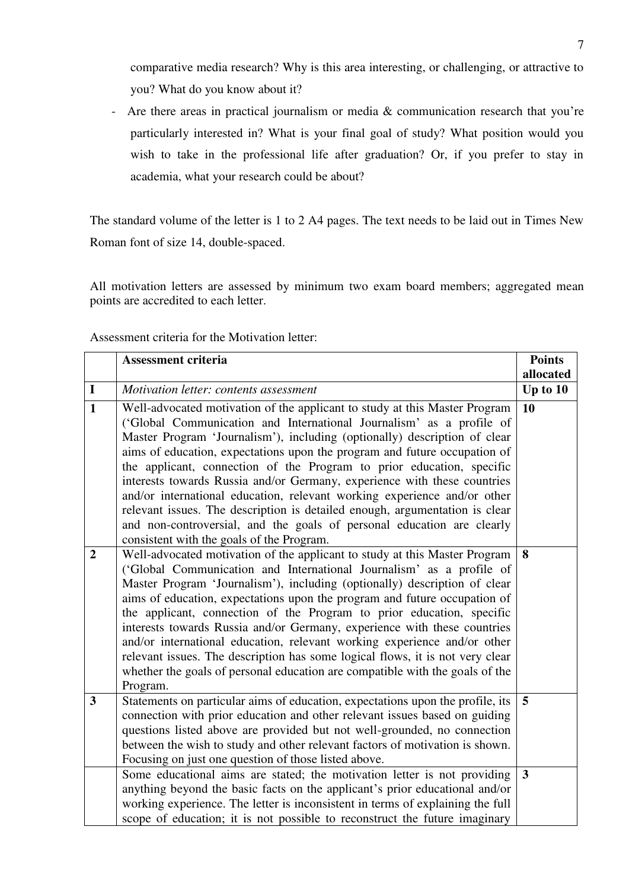comparative media research? Why is this area interesting, or challenging, or attractive to you? What do you know about it?

- Are there areas in practical journalism or media & communication research that you're particularly interested in? What is your final goal of study? What position would you wish to take in the professional life after graduation? Or, if you prefer to stay in academia, what your research could be about?

The standard volume of the letter is 1 to 2 A4 pages. The text needs to be laid out in Times New Roman font of size 14, double-spaced.

All motivation letters are assessed by minimum two exam board members; aggregated mean points are accredited to each letter.

|                  | <b>Assessment criteria</b>                                                                                                                                                                                                                                                                                                                                                                                                                                                                                                                                                                                                                                                                                                                          | <b>Points</b>  |
|------------------|-----------------------------------------------------------------------------------------------------------------------------------------------------------------------------------------------------------------------------------------------------------------------------------------------------------------------------------------------------------------------------------------------------------------------------------------------------------------------------------------------------------------------------------------------------------------------------------------------------------------------------------------------------------------------------------------------------------------------------------------------------|----------------|
|                  |                                                                                                                                                                                                                                                                                                                                                                                                                                                                                                                                                                                                                                                                                                                                                     | allocated      |
| $\mathbf I$      | Motivation letter: contents assessment                                                                                                                                                                                                                                                                                                                                                                                                                                                                                                                                                                                                                                                                                                              | Up to $10$     |
| $\mathbf{1}$     | Well-advocated motivation of the applicant to study at this Master Program<br>('Global Communication and International Journalism' as a profile of<br>Master Program 'Journalism'), including (optionally) description of clear<br>aims of education, expectations upon the program and future occupation of<br>the applicant, connection of the Program to prior education, specific<br>interests towards Russia and/or Germany, experience with these countries<br>and/or international education, relevant working experience and/or other<br>relevant issues. The description is detailed enough, argumentation is clear<br>and non-controversial, and the goals of personal education are clearly<br>consistent with the goals of the Program. | 10             |
| $\boldsymbol{2}$ | Well-advocated motivation of the applicant to study at this Master Program<br>('Global Communication and International Journalism' as a profile of<br>Master Program 'Journalism'), including (optionally) description of clear<br>aims of education, expectations upon the program and future occupation of<br>the applicant, connection of the Program to prior education, specific<br>interests towards Russia and/or Germany, experience with these countries<br>and/or international education, relevant working experience and/or other<br>relevant issues. The description has some logical flows, it is not very clear<br>whether the goals of personal education are compatible with the goals of the<br>Program.                          | 8              |
| 3                | Statements on particular aims of education, expectations upon the profile, its<br>connection with prior education and other relevant issues based on guiding<br>questions listed above are provided but not well-grounded, no connection<br>between the wish to study and other relevant factors of motivation is shown.<br>Focusing on just one question of those listed above.                                                                                                                                                                                                                                                                                                                                                                    | 5 <sup>5</sup> |
|                  | Some educational aims are stated; the motivation letter is not providing<br>anything beyond the basic facts on the applicant's prior educational and/or<br>working experience. The letter is inconsistent in terms of explaining the full<br>scope of education; it is not possible to reconstruct the future imaginary                                                                                                                                                                                                                                                                                                                                                                                                                             | $\mathbf{3}$   |

Assessment criteria for the Motivation letter: